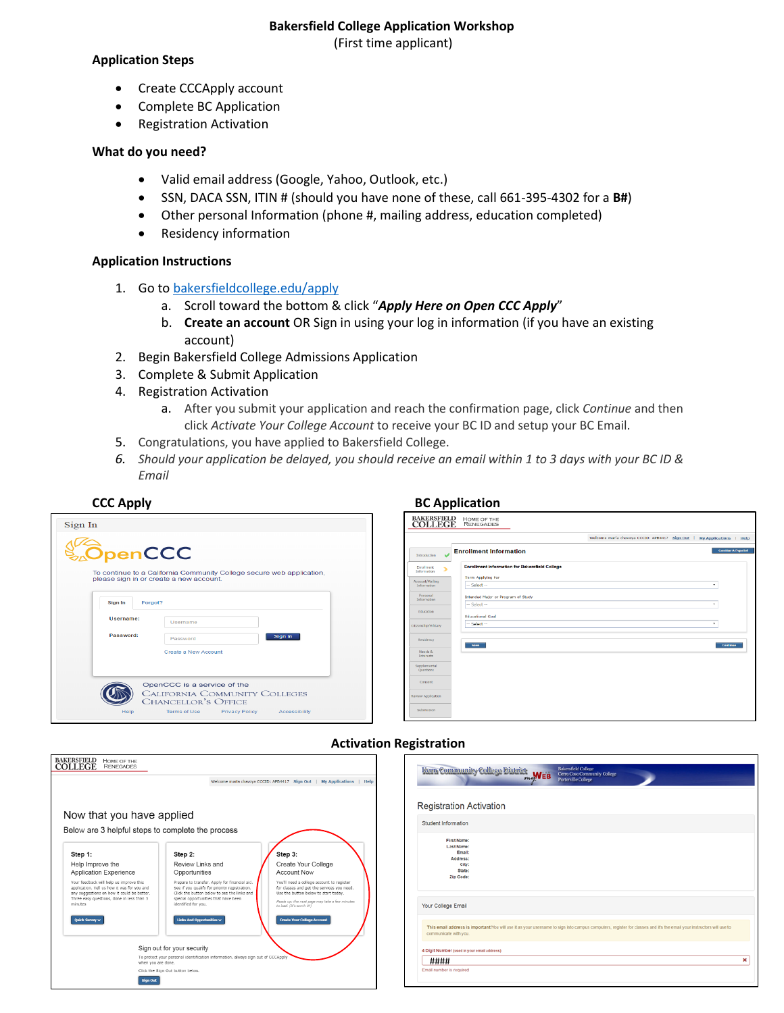#### **Bakersfield College Application Workshop**

(First time applicant)

### **Application Steps**

- Create CCCApply account
- Complete BC Application
- Registration Activation

## **What do you need?**

- Valid email address (Google, Yahoo, Outlook, etc.)
- SSN, DACA SSN, ITIN # (should you have none of these, call 661-395-4302 for a **B#**)
- Other personal Information (phone #, mailing address, education completed)
- Residency information

## **Application Instructions**

- 1. Go to [bakersfieldcollege.edu/apply](http://www.bakersfieldcollege.edu/apply)
	- a. Scroll toward the bottom & click "*Apply Here on Open CCC Apply*"
	- b. **Create an account** OR Sign in using your log in information (if you have an existing account)
- 2. Begin Bakersfield College Admissions Application
- 3. Complete & Submit Application
- 4. Registration Activation
	- a. After you submit your application and reach the confirmation page, click *Continue* and then click *Activate Your College Account* to receive your BC ID and setup your BC Email.
- 5. Congratulations, you have applied to Bakersfield College.
- *6. Should your application be delayed, you should receive an email within 1 to 3 days with your BC ID & Email*

| Sign In            |                                                                                                                                                   |
|--------------------|---------------------------------------------------------------------------------------------------------------------------------------------------|
| <b>OpenCCC</b>     | To continue to a California Community College secure web application,<br>please sign in or create a new account.                                  |
| Sign In<br>Forgot? |                                                                                                                                                   |
| Username:          | Username                                                                                                                                          |
| Password:          | Sign In<br>Password                                                                                                                               |
|                    | Create a New Account                                                                                                                              |
| Help               | OpenCCC is a service of the<br><b>CALIFORNIA COMMUNITY COLLEGES</b><br><b>CHANCELLOR'S OFFICE</b><br>Terms of Use Privacy Policy<br>Accessibility |

# **CCC Apply BC Application**

| <b>BAKERSFIELD</b><br><b>COLLEGE</b>  | HOME OF THE<br><b>RENEGADES</b>                                                  |
|---------------------------------------|----------------------------------------------------------------------------------|
|                                       | Welcome maria chavoya CCCID: APB4417 Sign Out  <br><b>My Applications   Help</b> |
| U<br>Introduction                     | <b>Cambiar A Español</b><br><b>Enrollment Information</b>                        |
| <b>Enrollment</b><br>×<br>Information | <b>Enrollment Information for Bakersfield College</b>                            |
| Account/Mailing<br>Information        | <b>Term Applying For</b><br>$-$ Select $-$<br>۰                                  |
| Personal<br>Information               | Intended Major or Program of Study<br>$-$ Select $-$<br>۰                        |
| Education                             | <b>Educational Goal</b>                                                          |
| Citizenship/Military                  | $-$ Select $-$<br>۰                                                              |
| <b>Residency</b>                      | Save<br>Continue                                                                 |
| Needs &<br>Interests                  |                                                                                  |
| Supplemental<br>Questions             |                                                                                  |
| Consent                               |                                                                                  |
| Review Application                    |                                                                                  |
| Submission                            |                                                                                  |

| BAKERSFIELD<br>HOME OF THE<br>COLLEGE<br><b>RENEGADES</b>                                                                                       |                                                                                                                                                    |                                                                                                                                                 | <b>Bakersfield College</b><br>Kern Community College District me WEB<br>Cerro Coso Community College                                                                                          |   |
|-------------------------------------------------------------------------------------------------------------------------------------------------|----------------------------------------------------------------------------------------------------------------------------------------------------|-------------------------------------------------------------------------------------------------------------------------------------------------|-----------------------------------------------------------------------------------------------------------------------------------------------------------------------------------------------|---|
|                                                                                                                                                 |                                                                                                                                                    | Welcome maria chavova CCCID: APB4417 Sign Out   My Applications   Help                                                                          | Porterville College                                                                                                                                                                           |   |
| Now that you have applied<br>Below are 3 helpful steps to complete the process                                                                  |                                                                                                                                                    |                                                                                                                                                 | <b>Registration Activation</b><br>Student Information                                                                                                                                         |   |
| Step 1:<br>Help Improve the<br>Application Experience<br>Your feedback will help us improve this<br>application. Tell us how it was for you and | Step 2:<br>Review Links and<br>Opportunities<br>Prepare to transfer. Apply for financial aid.<br>See if you qualify for priority registration.     | Step 3:<br>Create Your College<br><b>Account Now</b><br>You'll need a college account to register<br>for classes and get the services you need. | First Name:<br>Last Name:<br>Email:<br>Address:<br>City:<br>State:<br>Zip Code:                                                                                                               |   |
| any suggestions on how it could be better.<br>Three easy questions, done in less than 3<br>minutes                                              | Click the button below to see the links and<br>special opportunities that have been<br>identified for you.                                         | Use the button below to start today.<br>Heads up: the next page may take a few minutes<br>to load. (It's worth it!)                             | Your College Email                                                                                                                                                                            |   |
| Quick Survey ~                                                                                                                                  | Links And Opportunities v                                                                                                                          | <b>Create Your College Account</b>                                                                                                              | This email address is important!You will use it as your username to sign into campus computers, register for classes and it's the email your instructors will use to<br>communicate with you. |   |
| when you are done.                                                                                                                              | Sign out for your security<br>To protect your personal identification information, always sign out of CCCApply<br>Click the Sign Out button below. |                                                                                                                                                 | 4 Digit Number (used in your email address)<br>####<br>Email number is required                                                                                                               | × |
| <b>Sign Out</b>                                                                                                                                 |                                                                                                                                                    |                                                                                                                                                 |                                                                                                                                                                                               |   |

## **Activation Registration**